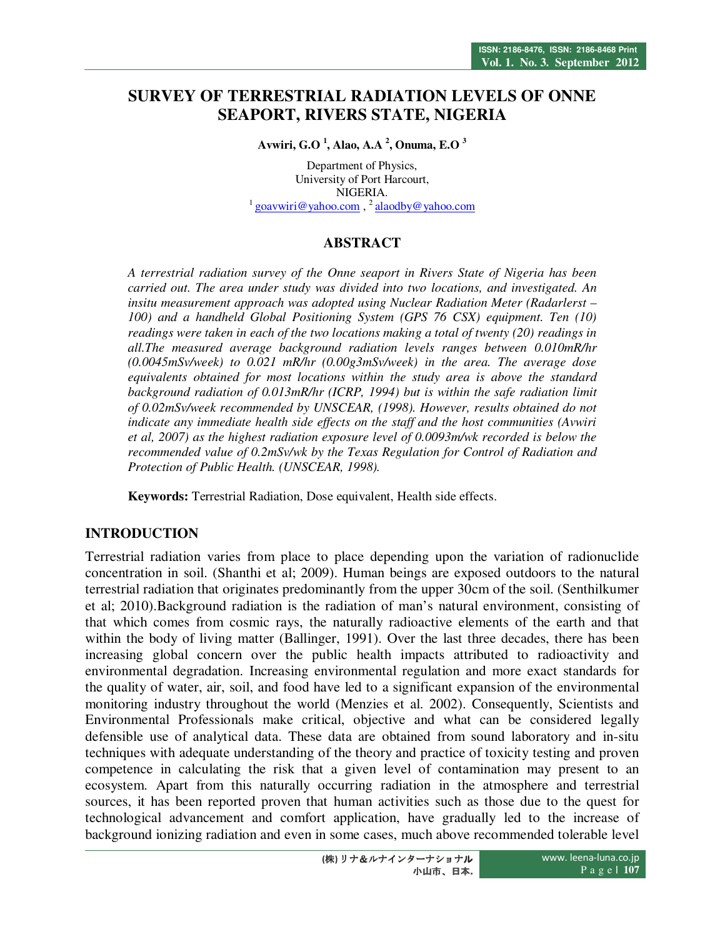# **SURVEY OF TERRESTRIAL RADIATION LEVELS OF ONNE SEAPORT, RIVERS STATE, NIGERIA**

**Avwiri, G.O <sup>1</sup> , Alao, A.A <sup>2</sup> , Onuma, E.O <sup>3</sup>**

Department of Physics, University of Port Harcourt, NIGERIA. <sup>1</sup> goavwiri@yahoo.com,<sup>2</sup> alaodby@yahoo.com

## **ABSTRACT**

*A terrestrial radiation survey of the Onne seaport in Rivers State of Nigeria has been carried out. The area under study was divided into two locations, and investigated. An insitu measurement approach was adopted using Nuclear Radiation Meter (Radarlerst –*  100) and a handheld Global Positioning System (GPS 76 CSX) equipment. Ten (10) *readings were taken in each of the two locations making a total of twenty (20) readings in all.The measured average background radiation levels ranges between 0.010mR/hr (0.0045mSv/week) to 0.021 mR/hr (0.00g3mSv/week) in the area. The average dose equivalents obtained for most locations within the study area is above the standard background radiation of 0.013mR/hr (ICRP, 1994) but is within the safe radiation limit of 0.02mSv/week recommended by UNSCEAR, (1998). However, results obtained do not indicate any immediate health side effects on the staff and the host communities (Avwiri et al, 2007) as the highest radiation exposure level of 0.0093m/wk recorded is below the recommended value of 0.2mSv/wk by the Texas Regulation for Control of Radiation and Protection of Public Health. (UNSCEAR, 1998).* 

**Keywords:** Terrestrial Radiation, Dose equivalent, Health side effects.

# **INTRODUCTION**

Terrestrial radiation varies from place to place depending upon the variation of radionuclide concentration in soil. (Shanthi et al; 2009). Human beings are exposed outdoors to the natural terrestrial radiation that originates predominantly from the upper 30cm of the soil. (Senthilkumer et al; 2010).Background radiation is the radiation of man's natural environment, consisting of that which comes from cosmic rays, the naturally radioactive elements of the earth and that within the body of living matter (Ballinger, 1991). Over the last three decades, there has been increasing global concern over the public health impacts attributed to radioactivity and environmental degradation. Increasing environmental regulation and more exact standards for the quality of water, air, soil, and food have led to a significant expansion of the environmental monitoring industry throughout the world (Menzies et al. 2002). Consequently, Scientists and Environmental Professionals make critical, objective and what can be considered legally defensible use of analytical data. These data are obtained from sound laboratory and in-situ techniques with adequate understanding of the theory and practice of toxicity testing and proven competence in calculating the risk that a given level of contamination may present to an ecosystem. Apart from this naturally occurring radiation in the atmosphere and terrestrial sources, it has been reported proven that human activities such as those due to the quest for technological advancement and comfort application, have gradually led to the increase of background ionizing radiation and even in some cases, much above recommended tolerable level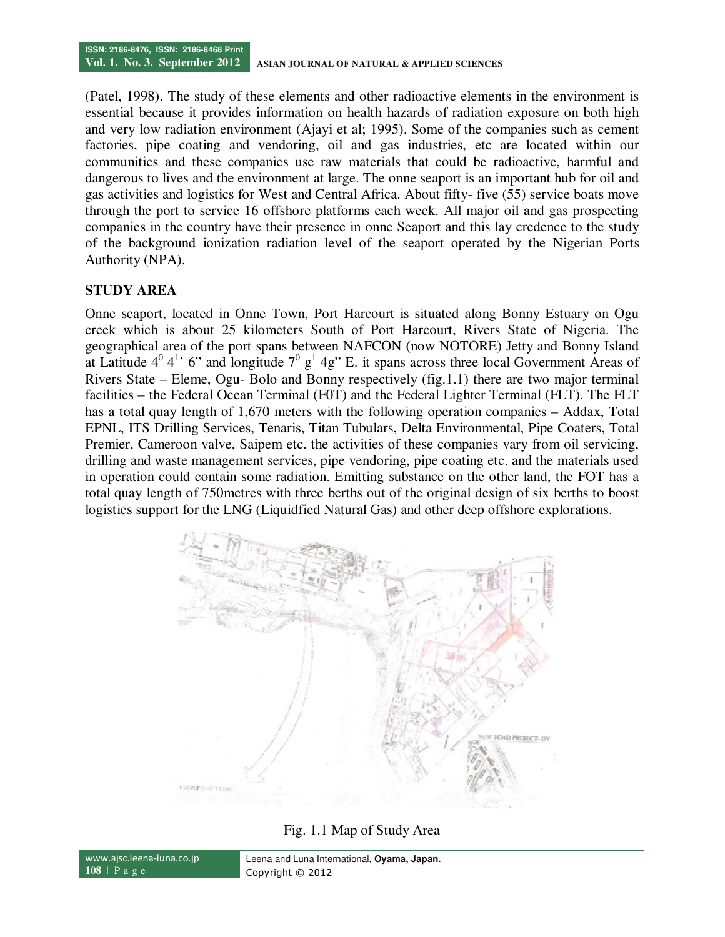(Patel, 1998). The study of these elements and other radioactive elements in the environment is essential because it provides information on health hazards of radiation exposure on both high and very low radiation environment (Ajayi et al; 1995). Some of the companies such as cement factories, pipe coating and vendoring, oil and gas industries, etc are located within our communities and these companies use raw materials that could be radioactive, harmful and dangerous to lives and the environment at large. The onne seaport is an important hub for oil and gas activities and logistics for West and Central Africa. About fifty- five (55) service boats move through the port to service 16 offshore platforms each week. All major oil and gas prospecting companies in the country have their presence in onne Seaport and this lay credence to the study of the background ionization radiation level of the seaport operated by the Nigerian Ports Authority (NPA).

#### **STUDY AREA**

Onne seaport, located in Onne Town, Port Harcourt is situated along Bonny Estuary on Ogu creek which is about 25 kilometers South of Port Harcourt, Rivers State of Nigeria. The geographical area of the port spans between NAFCON (now NOTORE) Jetty and Bonny Island at Latitude  $4^0$   $4^1$ , 6" and longitude  $7^0$   $g<sup>1</sup>$  4g" E. it spans across three local Government Areas of Rivers State – Eleme, Ogu- Bolo and Bonny respectively (fig.1.1) there are two major terminal facilities – the Federal Ocean Terminal (F0T) and the Federal Lighter Terminal (FLT). The FLT has a total quay length of 1,670 meters with the following operation companies – Addax, Total EPNL, ITS Drilling Services, Tenaris, Titan Tubulars, Delta Environmental, Pipe Coaters, Total Premier, Cameroon valve, Saipem etc. the activities of these companies vary from oil servicing, drilling and waste management services, pipe vendoring, pipe coating etc. and the materials used in operation could contain some radiation. Emitting substance on the other land, the FOT has a total quay length of 750metres with three berths out of the original design of six berths to boost logistics support for the LNG (Liquidfied Natural Gas) and other deep offshore explorations.



Fig. 1.1 Map of Study Area

www.ajsc.leena-luna.co.jp **108** | P a g e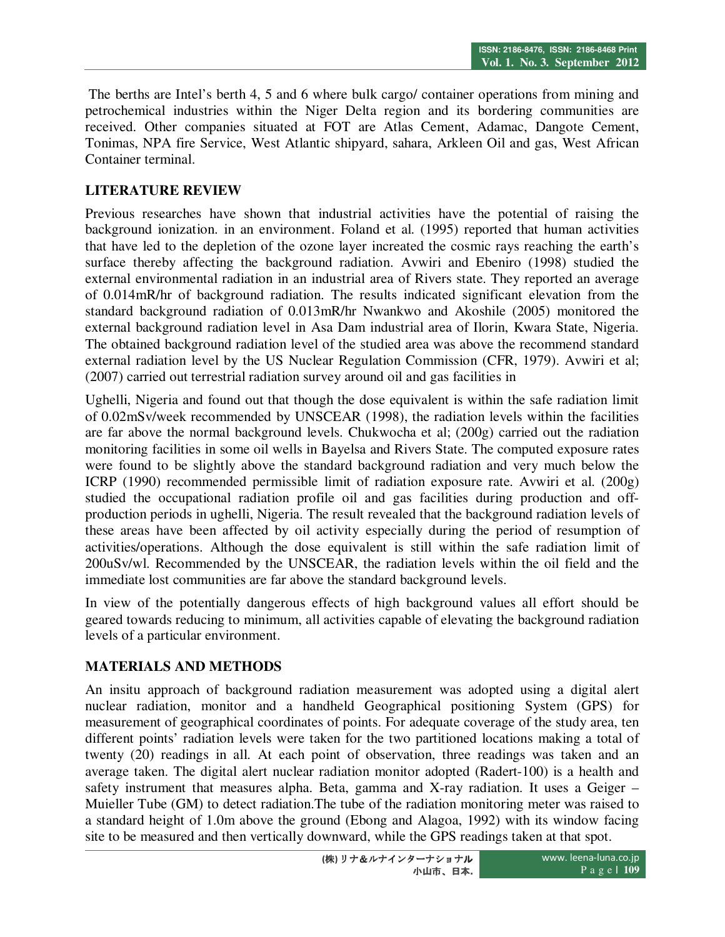The berths are Intel's berth 4, 5 and 6 where bulk cargo/ container operations from mining and petrochemical industries within the Niger Delta region and its bordering communities are received. Other companies situated at FOT are Atlas Cement, Adamac, Dangote Cement, Tonimas, NPA fire Service, West Atlantic shipyard, sahara, Arkleen Oil and gas, West African Container terminal.

# **LITERATURE REVIEW**

Previous researches have shown that industrial activities have the potential of raising the background ionization. in an environment. Foland et al. (1995) reported that human activities that have led to the depletion of the ozone layer increated the cosmic rays reaching the earth's surface thereby affecting the background radiation. Avwiri and Ebeniro (1998) studied the external environmental radiation in an industrial area of Rivers state. They reported an average of 0.014mR/hr of background radiation. The results indicated significant elevation from the standard background radiation of 0.013mR/hr Nwankwo and Akoshile (2005) monitored the external background radiation level in Asa Dam industrial area of Ilorin, Kwara State, Nigeria. The obtained background radiation level of the studied area was above the recommend standard external radiation level by the US Nuclear Regulation Commission (CFR, 1979). Avwiri et al; (2007) carried out terrestrial radiation survey around oil and gas facilities in

Ughelli, Nigeria and found out that though the dose equivalent is within the safe radiation limit of 0.02mSv/week recommended by UNSCEAR (1998), the radiation levels within the facilities are far above the normal background levels. Chukwocha et al; (200g) carried out the radiation monitoring facilities in some oil wells in Bayelsa and Rivers State. The computed exposure rates were found to be slightly above the standard background radiation and very much below the ICRP (1990) recommended permissible limit of radiation exposure rate. Avwiri et al. (200g) studied the occupational radiation profile oil and gas facilities during production and offproduction periods in ughelli, Nigeria. The result revealed that the background radiation levels of these areas have been affected by oil activity especially during the period of resumption of activities/operations. Although the dose equivalent is still within the safe radiation limit of 200uSv/wl. Recommended by the UNSCEAR, the radiation levels within the oil field and the immediate lost communities are far above the standard background levels.

In view of the potentially dangerous effects of high background values all effort should be geared towards reducing to minimum, all activities capable of elevating the background radiation levels of a particular environment.

# **MATERIALS AND METHODS**

An insitu approach of background radiation measurement was adopted using a digital alert nuclear radiation, monitor and a handheld Geographical positioning System (GPS) for measurement of geographical coordinates of points. For adequate coverage of the study area, ten different points' radiation levels were taken for the two partitioned locations making a total of twenty (20) readings in all. At each point of observation, three readings was taken and an average taken. The digital alert nuclear radiation monitor adopted (Radert-100) is a health and safety instrument that measures alpha. Beta, gamma and X-ray radiation. It uses a Geiger – Muieller Tube (GM) to detect radiation.The tube of the radiation monitoring meter was raised to a standard height of 1.0m above the ground (Ebong and Alagoa, 1992) with its window facing site to be measured and then vertically downward, while the GPS readings taken at that spot.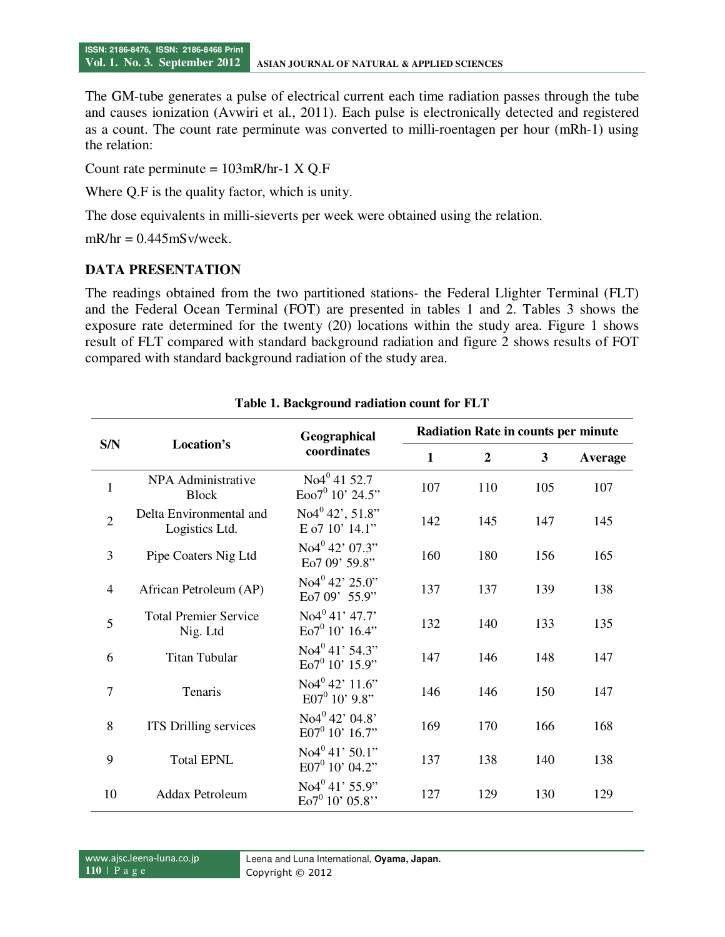The GM-tube generates a pulse of electrical current each time radiation passes through the tube and causes ionization (Avwiri et al., 2011). Each pulse is electronically detected and registered as a count. The count rate perminute was converted to milli-roentagen per hour (mRh-1) using the relation:

Count rate perminute =  $103$ mR/hr-1 X Q.F

Where Q.F is the quality factor, which is unity.

The dose equivalents in milli-sieverts per week were obtained using the relation.

 $mR/hr = 0.445mSv/week.$ 

# **DATA PRESENTATION**

The readings obtained from the two partitioned stations- the Federal Llighter Terminal (FLT) and the Federal Ocean Terminal (FOT) are presented in tables 1 and 2. Tables 3 shows the exposure rate determined for the twenty (20) locations within the study area. Figure 1 shows result of FLT compared with standard background radiation and figure 2 shows results of FOT compared with standard background radiation of the study area.

| S/N            | Location's                                | Geographical<br>coordinates                     | <b>Radiation Rate in counts per minute</b> |                  |     |         |  |
|----------------|-------------------------------------------|-------------------------------------------------|--------------------------------------------|------------------|-----|---------|--|
|                |                                           |                                                 | $\mathbf{1}$                               | $\boldsymbol{2}$ | 3   | Average |  |
| $\mathbf{1}$   | NPA Administrative<br><b>Block</b>        | No4 <sup>0</sup> 4152.7<br>$Eoo7^0 10' 24.5''$  | 107                                        | 110              | 105 | 107     |  |
| $\overline{2}$ | Delta Environmental and<br>Logistics Ltd. | $No4042$ ', 51.8"<br>E o7 10' 14.1"             | 142                                        | 145              | 147 | 145     |  |
| 3              | Pipe Coaters Nig Ltd                      | No4 <sup>0</sup> 42' 07.3"<br>Eo7 09' 59.8"     | 160                                        | 180              | 156 | 165     |  |
| $\overline{4}$ | African Petroleum (AP)                    | No4 <sup>0</sup> 42'25.0"<br>Eo7 09' 55.9"      | 137                                        | 137              | 139 | 138     |  |
| 5              | <b>Total Premier Service</b><br>Nig. Ltd  | No4 <sup>0</sup> 41'47.7'<br>$Eo7^0 10' 16.4"$  | 132                                        | 140              | 133 | 135     |  |
| 6              | <b>Titan Tubular</b>                      | $No4^{0}41'54.3"$<br>$Eo7^0$ 10' 15.9"          | 147                                        | 146              | 148 | 147     |  |
| 7              | Tenaris                                   | $No4^{0}42'11.6"$<br>$E07^0$ 10' 9.8"           | 146                                        | 146              | 150 | 147     |  |
| 8              | <b>ITS</b> Drilling services              | No4 <sup>0</sup> 42' 04.8'<br>$E07^0$ 10' 16.7" | 169                                        | 170              | 166 | 168     |  |
| 9              | <b>Total EPNL</b>                         | $No4^{0}$ 41' 50.1"<br>$E07^0$ 10' 04.2"        | 137                                        | 138              | 140 | 138     |  |
| 10             | Addax Petroleum                           | No4 <sup>0</sup> 41'55.9"<br>$Eo7^0 10' 05.8''$ | 127                                        | 129              | 130 | 129     |  |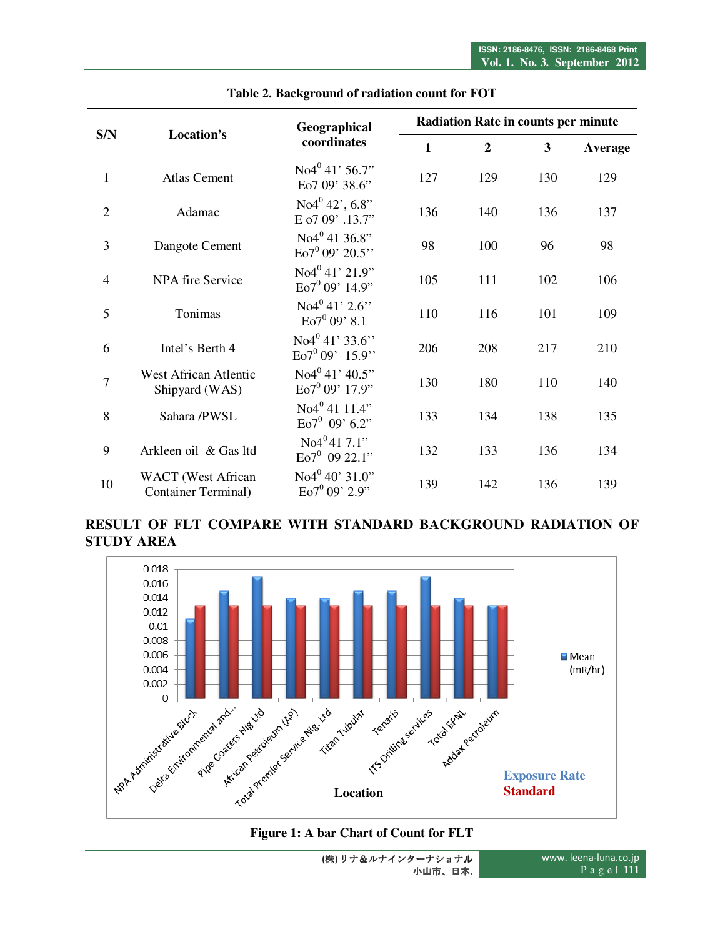| S/N            | Location's                                               | Geographical<br>coordinates                      | <b>Radiation Rate in counts per minute</b> |                  |     |         |  |
|----------------|----------------------------------------------------------|--------------------------------------------------|--------------------------------------------|------------------|-----|---------|--|
|                |                                                          |                                                  | $\mathbf{1}$                               | $\boldsymbol{2}$ | 3   | Average |  |
| $\mathbf{1}$   | <b>Atlas Cement</b>                                      | $No4^{0}$ 41' 56.7"<br>Eo7 09' 38.6"             | 127                                        | 129              | 130 | 129     |  |
| $\overline{2}$ | Adamac                                                   | $No4^0 42$ ', 6.8"<br>E o7 09' .13.7"            | 136                                        | 140              | 136 | 137     |  |
| 3              | Dangote Cement                                           | No4 <sup>0</sup> 41 36.8"<br>$Eo7^0$ 09' 20.5"   | 98                                         | 100              | 96  | 98      |  |
| $\overline{4}$ | NPA fire Service                                         | No4 <sup>0</sup> 41'21.9"<br>$Eo7^0$ 09' 14.9"   | 105                                        | 111              | 102 | 106     |  |
| 5              | Tonimas                                                  | $No4^{0}41'2.6''$<br>$Eo7^0$ 09' 8.1             | 110                                        | 116              | 101 | 109     |  |
| 6              | Intel's Berth 4                                          | No <sup>40</sup> 41' 33.6"<br>$Eo7^0 09' 15.9''$ | 206                                        | 208              | 217 | 210     |  |
| $\overline{7}$ | West African Atlentic<br>Shipyard (WAS)                  | $No4^{0}41'40.5"$<br>$Eo7^0$ 09' 17.9"           | 130                                        | 180              | 110 | 140     |  |
| 8              | Sahara /PWSL                                             | No4 <sup>0</sup> 4111.4"<br>$Eo7^0$ 09' 6.2"     | 133                                        | 134              | 138 | 135     |  |
| 9              | Arkleen oil & Gas ltd                                    | No4 <sup>0</sup> 417.1"<br>$Eo7^0$ 09 22.1"      | 132                                        | 133              | 136 | 134     |  |
| 10             | <b>WACT</b> (West African<br><b>Container Terminal</b> ) | $No4^{0}$ 40' 31.0"<br>$Eo7^0$ 09' 2.9"          | 139                                        | 142              | 136 | 139     |  |

#### **Table 2. Background of radiation count for FOT**

# **RESULT OF FLT COMPARE WITH STANDARD BACKGROUND RADIATION OF STUDY AREA**



# **Figure 1: A bar Chart of Count for FLT**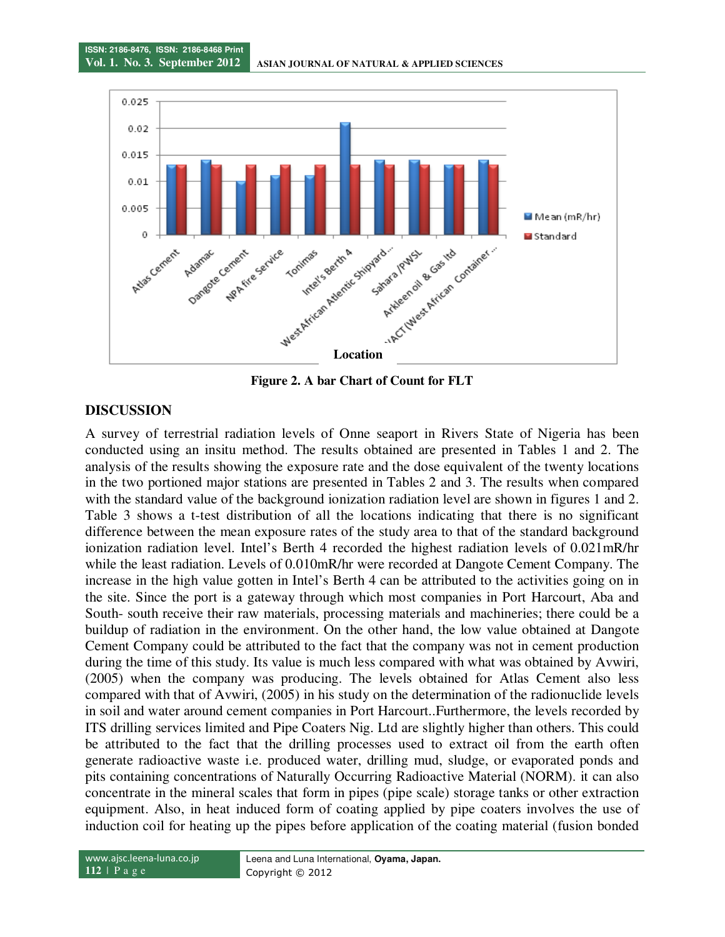

**Figure 2. A bar Chart of Count for FLT** 

## **DISCUSSION**

A survey of terrestrial radiation levels of Onne seaport in Rivers State of Nigeria has been conducted using an insitu method. The results obtained are presented in Tables 1 and 2. The analysis of the results showing the exposure rate and the dose equivalent of the twenty locations in the two portioned major stations are presented in Tables 2 and 3. The results when compared with the standard value of the background ionization radiation level are shown in figures 1 and 2. Table 3 shows a t-test distribution of all the locations indicating that there is no significant difference between the mean exposure rates of the study area to that of the standard background ionization radiation level. Intel's Berth 4 recorded the highest radiation levels of 0.021mR/hr while the least radiation. Levels of 0.010mR/hr were recorded at Dangote Cement Company. The increase in the high value gotten in Intel's Berth 4 can be attributed to the activities going on in the site. Since the port is a gateway through which most companies in Port Harcourt, Aba and South- south receive their raw materials, processing materials and machineries; there could be a buildup of radiation in the environment. On the other hand, the low value obtained at Dangote Cement Company could be attributed to the fact that the company was not in cement production during the time of this study. Its value is much less compared with what was obtained by Avwiri, (2005) when the company was producing. The levels obtained for Atlas Cement also less compared with that of Avwiri, (2005) in his study on the determination of the radionuclide levels in soil and water around cement companies in Port Harcourt..Furthermore, the levels recorded by ITS drilling services limited and Pipe Coaters Nig. Ltd are slightly higher than others. This could be attributed to the fact that the drilling processes used to extract oil from the earth often generate radioactive waste i.e. produced water, drilling mud, sludge, or evaporated ponds and pits containing concentrations of Naturally Occurring Radioactive Material (NORM). it can also concentrate in the mineral scales that form in pipes (pipe scale) storage tanks or other extraction equipment. Also, in heat induced form of coating applied by pipe coaters involves the use of induction coil for heating up the pipes before application of the coating material (fusion bonded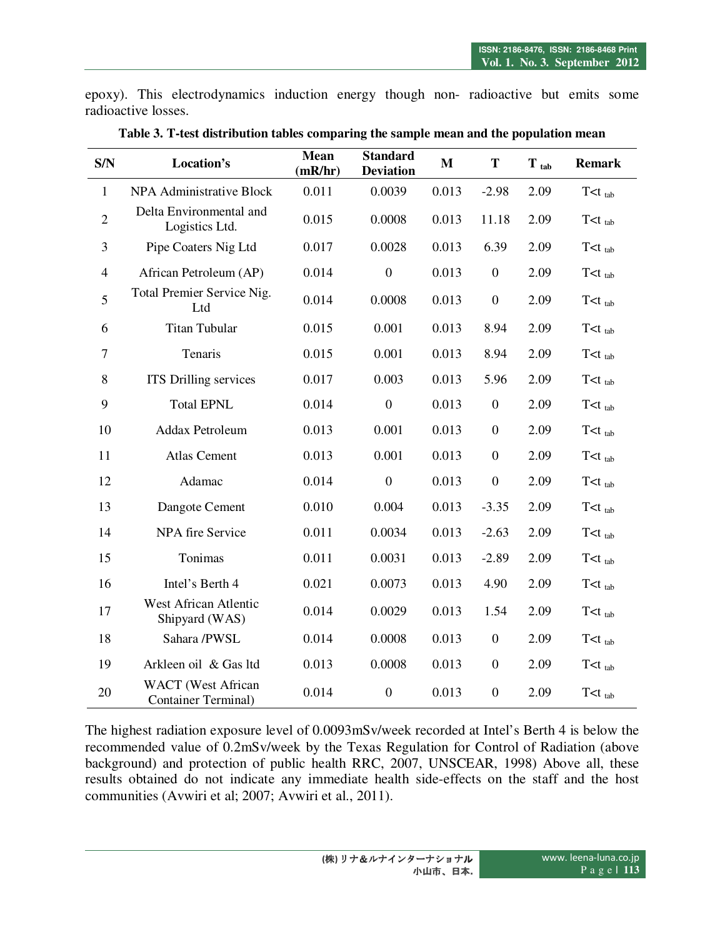epoxy). This electrodynamics induction energy though non- radioactive but emits some radioactive losses.

| S/N            | Location's                                               | <b>Mean</b><br>(mR/hr) | <b>Standard</b><br><b>Deviation</b> | M     | T                | $\mathbf T$ tab | <b>Remark</b>         |
|----------------|----------------------------------------------------------|------------------------|-------------------------------------|-------|------------------|-----------------|-----------------------|
| $\mathbf{1}$   | <b>NPA Administrative Block</b>                          | 0.011                  | 0.0039                              | 0.013 | $-2.98$          | 2.09            | $T$ $lt$ $t$ $_{tab}$ |
| $\overline{2}$ | Delta Environmental and<br>Logistics Ltd.                | 0.015                  | 0.0008                              | 0.013 | 11.18            | 2.09            | $T < t_{tab}$         |
| $\overline{3}$ | Pipe Coaters Nig Ltd                                     | 0.017                  | 0.0028                              | 0.013 | 6.39             | 2.09            | $T< t_{tab}$          |
| $\overline{4}$ | African Petroleum (AP)                                   | 0.014                  | $\overline{0}$                      | 0.013 | $\boldsymbol{0}$ | 2.09            | $T < t_{tab}$         |
| 5              | Total Premier Service Nig.<br>Ltd                        | 0.014                  | 0.0008                              | 0.013 | $\boldsymbol{0}$ | 2.09            | $T < t_{tab}$         |
| 6              | <b>Titan Tubular</b>                                     | 0.015                  | 0.001                               | 0.013 | 8.94             | 2.09            | $T < t_{tab}$         |
| $\overline{7}$ | Tenaris                                                  | 0.015                  | 0.001                               | 0.013 | 8.94             | 2.09            | $T < t_{tab}$         |
| $8\,$          | ITS Drilling services                                    | 0.017                  | 0.003                               | 0.013 | 5.96             | 2.09            | $T < t_{tab}$         |
| 9              | <b>Total EPNL</b>                                        | 0.014                  | $\overline{0}$                      | 0.013 | $\boldsymbol{0}$ | 2.09            | $T < t_{tab}$         |
| 10             | Addax Petroleum                                          | 0.013                  | 0.001                               | 0.013 | $\boldsymbol{0}$ | 2.09            | $T < t_{tab}$         |
| 11             | Atlas Cement                                             | 0.013                  | 0.001                               | 0.013 | $\boldsymbol{0}$ | 2.09            | $T < t_{tab}$         |
| 12             | Adamac                                                   | 0.014                  | $\overline{0}$                      | 0.013 | $\boldsymbol{0}$ | 2.09            | $T< t_{tab}$          |
| 13             | Dangote Cement                                           | 0.010                  | 0.004                               | 0.013 | $-3.35$          | 2.09            | $T < t_{tab}$         |
| 14             | <b>NPA</b> fire Service                                  | 0.011                  | 0.0034                              | 0.013 | $-2.63$          | 2.09            | $T < t_{tab}$         |
| 15             | Tonimas                                                  | 0.011                  | 0.0031                              | 0.013 | $-2.89$          | 2.09            | $T < t_{tab}$         |
| 16             | Intel's Berth 4                                          | 0.021                  | 0.0073                              | 0.013 | 4.90             | 2.09            | $T < t_{tab}$         |
| 17             | West African Atlentic<br>Shipyard (WAS)                  | 0.014                  | 0.0029                              | 0.013 | 1.54             | 2.09            | $T < t_{tab}$         |
| 18             | Sahara /PWSL                                             | 0.014                  | 0.0008                              | 0.013 | $\boldsymbol{0}$ | 2.09            | $T< t_{tab}$          |
| 19             | Arkleen oil & Gas ltd                                    | 0.013                  | 0.0008                              | 0.013 | $\boldsymbol{0}$ | 2.09            | $T < t_{tab}$         |
| 20             | <b>WACT</b> (West African<br><b>Container Terminal</b> ) | 0.014                  | $\overline{0}$                      | 0.013 | $\overline{0}$   | 2.09            | $T < t_{tab}$         |

**Table 3. T-test distribution tables comparing the sample mean and the population mean** 

The highest radiation exposure level of 0.0093mSv/week recorded at Intel's Berth 4 is below the recommended value of 0.2mSv/week by the Texas Regulation for Control of Radiation (above background) and protection of public health RRC, 2007, UNSCEAR, 1998) Above all, these results obtained do not indicate any immediate health side-effects on the staff and the host communities (Avwiri et al; 2007; Avwiri et al., 2011).